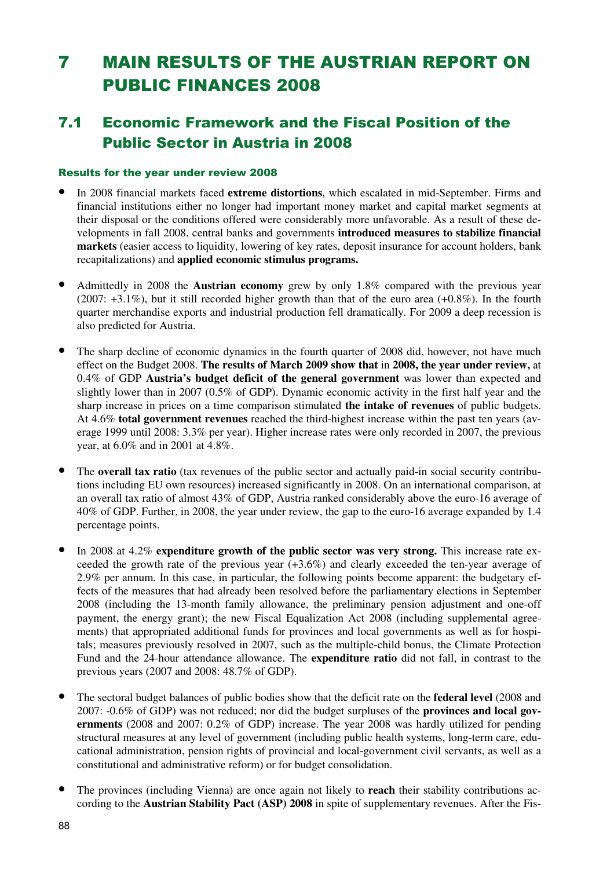# 7 MAIN RESULTS OF THE AUSTRIAN REPORT ON PUBLIC FINANCES 2008

### 7.1 Economic Framework and the Fiscal Position of the Public Sector in Austria in 2008

#### Results for the year under review 2008

- In 2008 financial markets faced **extreme distortions**, which escalated in mid-September. Firms and financial institutions either no longer had important money market and capital market segments at their disposal or the conditions offered were considerably more unfavorable. As a result of these developments in fall 2008, central banks and governments **introduced measures to stabilize financial markets** (easier access to liquidity, lowering of key rates, deposit insurance for account holders, bank recapitalizations) and **applied economic stimulus programs.**
- Admittedly in 2008 the **Austrian economy** grew by only 1.8% compared with the previous year (2007: +3.1%), but it still recorded higher growth than that of the euro area (+0.8%). In the fourth quarter merchandise exports and industrial production fell dramatically. For 2009 a deep recession is also predicted for Austria.
- The sharp decline of economic dynamics in the fourth quarter of 2008 did, however, not have much effect on the Budget 2008. **The results of March 2009 show that** in **2008, the year under review,** at 0.4% of GDP **Austria's budget deficit of the general government** was lower than expected and slightly lower than in 2007 (0.5% of GDP). Dynamic economic activity in the first half year and the sharp increase in prices on a time comparison stimulated **the intake of revenues** of public budgets. At 4.6% **total government revenues** reached the third-highest increase within the past ten years (average 1999 until 2008: 3.3% per year). Higher increase rates were only recorded in 2007, the previous year, at 6.0% and in 2001 at 4.8%.
- The **overall tax ratio** (tax revenues of the public sector and actually paid-in social security contributions including EU own resources) increased significantly in 2008. On an international comparison, at an overall tax ratio of almost 43% of GDP, Austria ranked considerably above the euro-16 average of 40% of GDP. Further, in 2008, the year under review, the gap to the euro-16 average expanded by 1.4 percentage points.
- In 2008 at 4.2% **expenditure growth of the public sector was very strong.** This increase rate exceeded the growth rate of the previous year (+3.6%) and clearly exceeded the ten-year average of 2.9% per annum. In this case, in particular, the following points become apparent: the budgetary effects of the measures that had already been resolved before the parliamentary elections in September 2008 (including the 13-month family allowance, the preliminary pension adjustment and one-off payment, the energy grant); the new Fiscal Equalization Act 2008 (including supplemental agreements) that appropriated additional funds for provinces and local governments as well as for hospitals; measures previously resolved in 2007, such as the multiple-child bonus, the Climate Protection Fund and the 24-hour attendance allowance. The **expenditure ratio** did not fall, in contrast to the previous years (2007 and 2008: 48.7% of GDP).
- The sectoral budget balances of public bodies show that the deficit rate on the **federal level** (2008 and 2007: -0.6% of GDP) was not reduced; nor did the budget surpluses of the **provinces and local governments** (2008 and 2007: 0.2% of GDP) increase. The year 2008 was hardly utilized for pending structural measures at any level of government (including public health systems, long-term care, educational administration, pension rights of provincial and local-government civil servants, as well as a constitutional and administrative reform) or for budget consolidation.
- The provinces (including Vienna) are once again not likely to **reach** their stability contributions according to the **Austrian Stability Pact (ASP) 2008** in spite of supplementary revenues. After the Fis-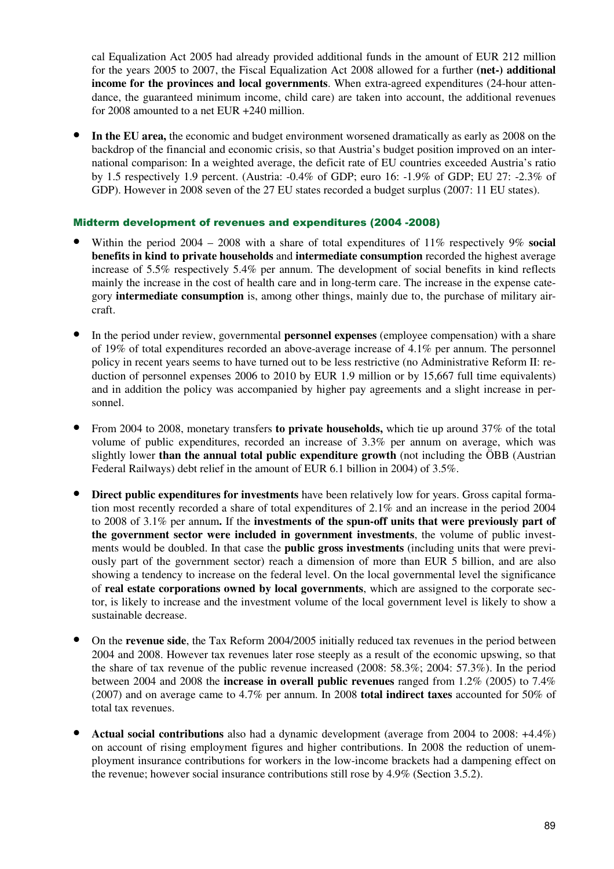cal Equalization Act 2005 had already provided additional funds in the amount of EUR 212 million for the years 2005 to 2007, the Fiscal Equalization Act 2008 allowed for a further **(net-) additional income for the provinces and local governments**. When extra-agreed expenditures (24-hour attendance, the guaranteed minimum income, child care) are taken into account, the additional revenues for 2008 amounted to a net EUR +240 million.

• **In the EU area,** the economic and budget environment worsened dramatically as early as 2008 on the backdrop of the financial and economic crisis, so that Austria's budget position improved on an international comparison: In a weighted average, the deficit rate of EU countries exceeded Austria's ratio by 1.5 respectively 1.9 percent. (Austria: -0.4% of GDP; euro 16: -1.9% of GDP; EU 27: -2.3% of GDP). However in 2008 seven of the 27 EU states recorded a budget surplus (2007: 11 EU states).

#### Midterm development of revenues and expenditures (2004 -2008)

- Within the period 2004 2008 with a share of total expenditures of 11% respectively 9% **social benefits in kind to private households** and **intermediate consumption** recorded the highest average increase of 5.5% respectively 5.4% per annum. The development of social benefits in kind reflects mainly the increase in the cost of health care and in long-term care. The increase in the expense category **intermediate consumption** is, among other things, mainly due to, the purchase of military aircraft.
- In the period under review, governmental **personnel expenses** (employee compensation) with a share of 19% of total expenditures recorded an above-average increase of 4.1% per annum. The personnel policy in recent years seems to have turned out to be less restrictive (no Administrative Reform II: reduction of personnel expenses 2006 to 2010 by EUR 1.9 million or by 15,667 full time equivalents) and in addition the policy was accompanied by higher pay agreements and a slight increase in personnel.
- From 2004 to 2008, monetary transfers **to private households,** which tie up around 37% of the total volume of public expenditures, recorded an increase of 3.3% per annum on average, which was slightly lower **than the annual total public expenditure growth** (not including the ÖBB (Austrian Federal Railways) debt relief in the amount of EUR 6.1 billion in 2004) of 3.5%.
- **Direct public expenditures for investments** have been relatively low for years. Gross capital formation most recently recorded a share of total expenditures of 2.1% and an increase in the period 2004 to 2008 of 3.1% per annum**.** If the **investments of the spun-off units that were previously part of the government sector were included in government investments**, the volume of public investments would be doubled. In that case the **public gross investments** (including units that were previously part of the government sector) reach a dimension of more than EUR 5 billion, and are also showing a tendency to increase on the federal level. On the local governmental level the significance of **real estate corporations owned by local governments**, which are assigned to the corporate sector, is likely to increase and the investment volume of the local government level is likely to show a sustainable decrease.
- On the **revenue side**, the Tax Reform 2004/2005 initially reduced tax revenues in the period between 2004 and 2008. However tax revenues later rose steeply as a result of the economic upswing, so that the share of tax revenue of the public revenue increased (2008: 58.3%; 2004: 57.3%). In the period between 2004 and 2008 the **increase in overall public revenues** ranged from 1.2% (2005) to 7.4% (2007) and on average came to 4.7% per annum. In 2008 **total indirect taxes** accounted for 50% of total tax revenues.
- **Actual social contributions** also had a dynamic development (average from 2004 to 2008: +4.4%) on account of rising employment figures and higher contributions. In 2008 the reduction of unemployment insurance contributions for workers in the low-income brackets had a dampening effect on the revenue; however social insurance contributions still rose by 4.9% (Section 3.5.2).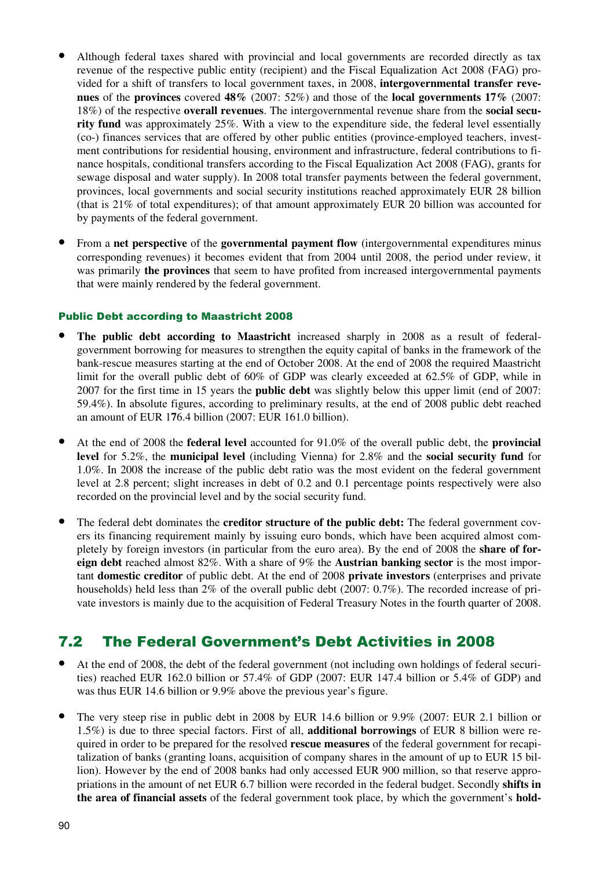- Although federal taxes shared with provincial and local governments are recorded directly as tax revenue of the respective public entity (recipient) and the Fiscal Equalization Act 2008 (FAG) provided for a shift of transfers to local government taxes, in 2008, **intergovernmental transfer revenues** of the **provinces** covered **48%** (2007: 52%) and those of the **local governments 17%** (2007: 18%) of the respective **overall revenues**. The intergovernmental revenue share from the **social security fund** was approximately 25%. With a view to the expenditure side, the federal level essentially (co-) finances services that are offered by other public entities (province-employed teachers, investment contributions for residential housing, environment and infrastructure, federal contributions to finance hospitals, conditional transfers according to the Fiscal Equalization Act 2008 (FAG), grants for sewage disposal and water supply). In 2008 total transfer payments between the federal government, provinces, local governments and social security institutions reached approximately EUR 28 billion (that is 21% of total expenditures); of that amount approximately EUR 20 billion was accounted for by payments of the federal government.
- From a **net perspective** of the **governmental payment flow** (intergovernmental expenditures minus corresponding revenues) it becomes evident that from 2004 until 2008, the period under review, it was primarily **the provinces** that seem to have profited from increased intergovernmental payments that were mainly rendered by the federal government.

#### Public Debt according to Maastricht 2008

- The public debt according to Maastricht increased sharply in 2008 as a result of federalgovernment borrowing for measures to strengthen the equity capital of banks in the framework of the bank-rescue measures starting at the end of October 2008. At the end of 2008 the required Maastricht limit for the overall public debt of 60% of GDP was clearly exceeded at 62.5% of GDP, while in 2007 for the first time in 15 years the **public debt** was slightly below this upper limit (end of 2007: 59.4%). In absolute figures, according to preliminary results, at the end of 2008 public debt reached an amount of EUR 1**7**6.4 billion (2007: EUR 161.0 billion).
- At the end of 2008 the **federal level** accounted for 91.0% of the overall public debt, the **provincial level** for 5.2%, the **municipal level** (including Vienna) for 2.8% and the **social security fund** for 1.0%. In 2008 the increase of the public debt ratio was the most evident on the federal government level at 2.8 percent; slight increases in debt of 0.2 and 0.1 percentage points respectively were also recorded on the provincial level and by the social security fund.
- The federal debt dominates the **creditor structure of the public debt:** The federal government covers its financing requirement mainly by issuing euro bonds, which have been acquired almost completely by foreign investors (in particular from the euro area). By the end of 2008 the **share of foreign debt** reached almost 82%. With a share of 9% the **Austrian banking sector** is the most important **domestic creditor** of public debt. At the end of 2008 **private investors** (enterprises and private households) held less than 2% of the overall public debt (2007: 0.7%). The recorded increase of private investors is mainly due to the acquisition of Federal Treasury Notes in the fourth quarter of 2008.

### 7.2 The Federal Government's Debt Activities in 2008

- At the end of 2008, the debt of the federal government (not including own holdings of federal securities) reached EUR 162.0 billion or 57.4% of GDP (2007: EUR 147.4 billion or 5.4% of GDP) and was thus EUR 14.6 billion or 9.9% above the previous year's figure.
- The very steep rise in public debt in 2008 by EUR 14.6 billion or 9.9% (2007: EUR 2.1 billion or 1.5%) is due to three special factors. First of all, **additional borrowings** of EUR 8 billion were required in order to be prepared for the resolved **rescue measures** of the federal government for recapitalization of banks (granting loans, acquisition of company shares in the amount of up to EUR 15 billion). However by the end of 2008 banks had only accessed EUR 900 million, so that reserve appropriations in the amount of net EUR 6.7 billion were recorded in the federal budget. Secondly **shifts in the area of financial assets** of the federal government took place, by which the government's **hold-**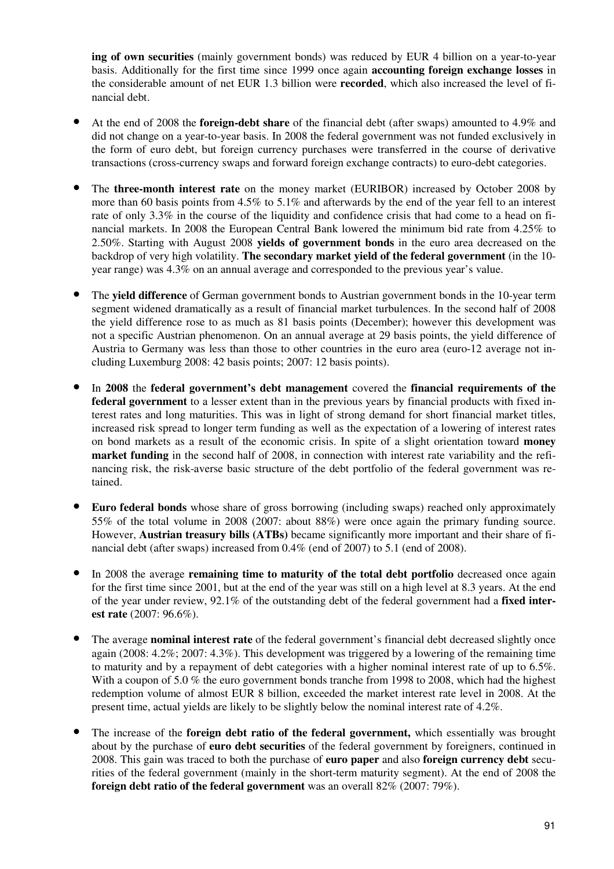**ing of own securities** (mainly government bonds) was reduced by EUR 4 billion on a year-to-year basis. Additionally for the first time since 1999 once again **accounting foreign exchange losses** in the considerable amount of net EUR 1.3 billion were **recorded**, which also increased the level of financial debt.

- At the end of 2008 the **foreign-debt share** of the financial debt (after swaps) amounted to 4.9% and did not change on a year-to-year basis. In 2008 the federal government was not funded exclusively in the form of euro debt, but foreign currency purchases were transferred in the course of derivative transactions (cross-currency swaps and forward foreign exchange contracts) to euro-debt categories.
- The **three-month interest rate** on the money market (EURIBOR) increased by October 2008 by more than 60 basis points from 4.5% to 5.1% and afterwards by the end of the year fell to an interest rate of only 3.3% in the course of the liquidity and confidence crisis that had come to a head on financial markets. In 2008 the European Central Bank lowered the minimum bid rate from 4.25% to 2.50%. Starting with August 2008 **yields of government bonds** in the euro area decreased on the backdrop of very high volatility. **The secondary market yield of the federal government** (in the 10 year range) was 4.3% on an annual average and corresponded to the previous year's value.
- The **yield difference** of German government bonds to Austrian government bonds in the 10-year term segment widened dramatically as a result of financial market turbulences. In the second half of 2008 the yield difference rose to as much as 81 basis points (December); however this development was not a specific Austrian phenomenon. On an annual average at 29 basis points, the yield difference of Austria to Germany was less than those to other countries in the euro area (euro-12 average not including Luxemburg 2008: 42 basis points; 2007: 12 basis points).
- In **2008** the **federal government's debt management** covered the **financial requirements of the federal government** to a lesser extent than in the previous years by financial products with fixed interest rates and long maturities. This was in light of strong demand for short financial market titles, increased risk spread to longer term funding as well as the expectation of a lowering of interest rates on bond markets as a result of the economic crisis. In spite of a slight orientation toward **money market funding** in the second half of 2008, in connection with interest rate variability and the refinancing risk, the risk-averse basic structure of the debt portfolio of the federal government was retained.
- **Euro federal bonds** whose share of gross borrowing (including swaps) reached only approximately 55% of the total volume in 2008 (2007: about 88%) were once again the primary funding source. However, **Austrian treasury bills (ATBs)** became significantly more important and their share of financial debt (after swaps) increased from 0.4% (end of 2007) to 5.1 (end of 2008).
- In 2008 the average **remaining time to maturity of the total debt portfolio** decreased once again for the first time since 2001, but at the end of the year was still on a high level at 8.3 years. At the end of the year under review, 92.1% of the outstanding debt of the federal government had a **fixed interest rate** (2007: 96.6%).
- The average **nominal interest rate** of the federal government's financial debt decreased slightly once again (2008: 4.2%; 2007: 4.3%). This development was triggered by a lowering of the remaining time to maturity and by a repayment of debt categories with a higher nominal interest rate of up to 6.5%. With a coupon of 5.0 % the euro government bonds tranche from 1998 to 2008, which had the highest redemption volume of almost EUR 8 billion, exceeded the market interest rate level in 2008. At the present time, actual yields are likely to be slightly below the nominal interest rate of 4.2%.
- The increase of the **foreign debt ratio of the federal government,** which essentially was brought about by the purchase of **euro debt securities** of the federal government by foreigners, continued in 2008. This gain was traced to both the purchase of **euro paper** and also **foreign currency debt** securities of the federal government (mainly in the short-term maturity segment). At the end of 2008 the **foreign debt ratio of the federal government** was an overall 82% (2007: 79%).